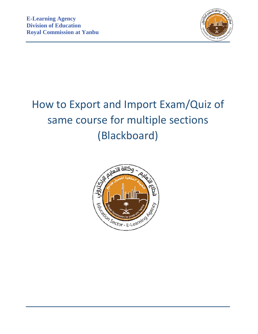

# How to Export and Import Exam/Quiz of same course for multiple sections (Blackboard)

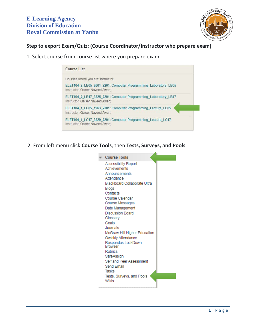

# **Step to export Exam/Quiz: (Course Coordinator/Instructor who prepare exam)**

1. Select course from course list where you prepare exam.

| Course List                                                                                       |  |
|---------------------------------------------------------------------------------------------------|--|
| Courses where you are: Instructor                                                                 |  |
| ELET104 2 LB05 2661 2201: Computer Programming Laboratory LB05<br>Instructor: Qaiser Naveed Awan: |  |
| ELET104_2_LB17_3225_2201: Computer Programming_Laboratory_LB17<br>Instructor: Qaiser Naveed Awan: |  |
| ELET104_1_LC05_1963_2201: Computer Programming_Lecture_LC05<br>Instructor: Qaiser Naveed Awan;    |  |
| ELET104 1 LC17 3229 2201: Computer Programming Lecture LC17<br>Instructor: Qaiser Naveed Awan:    |  |

2. From left menu click **Course Tools**, then **Tests, Surveys, and Pools**.

| <b>Course Tools</b>                  |
|--------------------------------------|
| <b>Accessibility Report</b>          |
| Achievements                         |
| Announcements                        |
| Attendance                           |
| Blackboard Collaborate Ultra         |
| Blogs                                |
| Contacts                             |
| Course Calendar                      |
| Course Messages                      |
| Date Management                      |
| <b>Discussion Board</b>              |
| Glossary                             |
| Goals                                |
| Journals                             |
| McGraw-Hill Higher Education         |
| Qwickly Attendance                   |
| Respondus LockDown<br><b>Browser</b> |
| <b>Rubrics</b>                       |
| SafeAssign                           |
| Self and Peer Assessment             |
| Send Email                           |
| Tasks                                |
| Tests, Surveys, and Pools            |
| <b>Wikis</b>                         |
|                                      |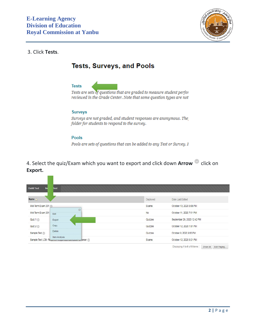

## 3. Click **Tests**.

# **Tests, Surveys, and Pools**



Pools are sets of questions that can be added to any Test or Survey. 1

4. Select the quiz/Exam which you want to export and click down **Arrow** click on **Export.**

| <b>Build Test</b><br>Im | <b>Test</b>                                                           |          |                                                         |
|-------------------------|-----------------------------------------------------------------------|----------|---------------------------------------------------------|
| Name                    |                                                                       | Deployed | Date Last Edited                                        |
| Mid-Term Exam 201       |                                                                       | Exams    | October 13, 2020 8:08 PM                                |
| Mid-Term Exam 201       | O<br>Edit                                                             | No       | October 11, 2020 7:51 PM                                |
| Quiz 1                  | Export                                                                | Quizzes  | September 29, 2020 12:42 PM                             |
| Quiz2                   | Copy                                                                  | Quizzes  | October 12, 2020 1:01 PM                                |
| Sample Test             | Delete                                                                | Quizzes  | October 9, 2020 9:05 PM                                 |
|                         | Item Analysis<br>Sample Test LDB- Required recopended economing owser | Exams    | October 12, 2020 9:21 PM                                |
|                         |                                                                       |          | Displaying 1 to 6 of 6 items<br>Show All<br>Fdit Paging |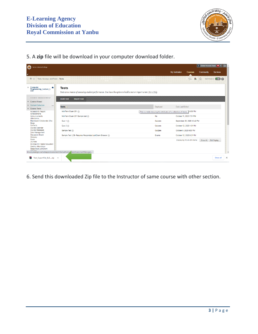

5. A **zip** file will be download in your computer download folder.

| Yanbu Industrial College<br>$\left(\cdot\right)$                                              |                                                                                                                                     |                                                                            |                  |                              | <b>D</b> Qaiser Naveed Awan 40 | ්                  |
|-----------------------------------------------------------------------------------------------|-------------------------------------------------------------------------------------------------------------------------------------|----------------------------------------------------------------------------|------------------|------------------------------|--------------------------------|--------------------|
|                                                                                               |                                                                                                                                     |                                                                            | My Institution   | <b>Courses</b>               | Community                      | <b>Services</b>    |
| 合变<br>Tests, Surveys, and Pools > Tests                                                       |                                                                                                                                     |                                                                            |                  | $\odot$<br><b>I</b> A        | $\sqrt{2}$                     | Edit Mode is: ON ? |
| Computer<br>₩<br>Programming_Lecture_L<br>C <sub>05</sub>                                     | <b>Tests</b><br>Tests are a means of assessing student performance. You have the option to build a test or import a test. More Help |                                                                            |                  |                              |                                |                    |
| COURSE MANAGEMENT<br><b>Control Panel</b>                                                     | <b>Build Test</b><br><b>Import Test</b>                                                                                             |                                                                            |                  |                              |                                |                    |
| <b>Content Collection</b>                                                                     | Name $\triangle$                                                                                                                    | Deployed                                                                   | Date Last Edited |                              |                                |                    |
| <b>Course Tools</b><br><b>Accessibility Report</b>                                            | Mid-Term Exam 201                                                                                                                   | This is a table showing the attributes of a collection of items. P 8:08 PM |                  |                              |                                |                    |
| <b>Achievements</b><br>Announcements<br>Attendance                                            | Mid-Term Exam 201 Sample test                                                                                                       | <b>No</b>                                                                  |                  | October 11, 2020 7:51 PM     |                                |                    |
| Blackboard Collaborate Ultra<br><b>Blogs</b>                                                  | Quiz $1$ $\circledcirc$                                                                                                             | Quizzes                                                                    |                  | September 29, 2020 12:42 PM  |                                |                    |
| Contacts                                                                                      | Quiz $2 \odot$                                                                                                                      | Quizzes                                                                    |                  | October 12, 2020 1:01 PM     |                                |                    |
| Course Calendar<br>Course Messages<br>Date Management                                         | Sample Test                                                                                                                         | Quizzes                                                                    |                  | October 9, 2020 9:05 PM      |                                |                    |
| <b>Discussion Board</b><br>Glossary                                                           | Sample Test LDB- Requires Respondus LockDown Browser                                                                                | Exams                                                                      |                  | October 12, 2020 9:21 PM     |                                |                    |
| Goals<br>Journals<br>McGraw-Hill Higher Education<br>Qwickly Attendance<br>Respondus LockDown |                                                                                                                                     |                                                                            |                  | Displaying 1 to 6 of 6 items | Show All                       | Edit Paging        |
|                                                                                               | Ims.cisjubail.gov.sa/webapps/assessment/do/authoring viewAssessmentManager                                                          |                                                                            |                  |                              |                                |                    |
| ⋹<br>Test ExportFile ELEzip ^                                                                 |                                                                                                                                     |                                                                            |                  |                              |                                | Show all           |

6. Send this downloaded Zip file to the Instructor of same course with other section.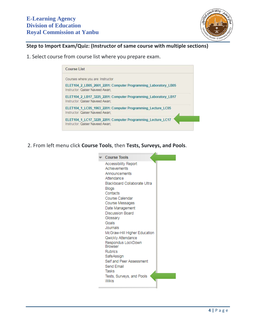

# **Step to Import Exam/Quiz: (Instructor of same course with multiple sections)**

1. Select course from course list where you prepare exam.

| Course List                                                                                       |  |
|---------------------------------------------------------------------------------------------------|--|
| Courses where you are: Instructor                                                                 |  |
| ELET104 2 LB05 2661 2201: Computer Programming Laboratory LB05<br>Instructor: Qaiser Naveed Awan: |  |
| ELET104 2 LB17 3225 2201: Computer Programming Laboratory LB17<br>Instructor: Qaiser Naveed Awan: |  |
| ELET104 1 LC05 1963 2201: Computer Programming Lecture LC05<br>Instructor: Qaiser Naveed Awan;    |  |
| ELET104 1 LC17 3229 2201: Computer Programming Lecture LC17<br>Instructor: Qaiser Naveed Awan:    |  |

2. From left menu click **Course Tools**, then **Tests, Surveys, and Pools**.

| <b>Course Tools</b>           |
|-------------------------------|
| <b>Accessibility Report</b>   |
| Achievements                  |
| Announcements                 |
| Attendance                    |
| Blackboard Collaborate Ultra  |
| Blogs                         |
| Contacts                      |
| Course Calendar               |
| Course Messages               |
| Date Management               |
| <b>Discussion Board</b>       |
| Glossary                      |
| Goals                         |
| Journals                      |
| McGraw-Hill Higher Education  |
| Qwickly Attendance            |
| Respondus LockDown<br>Rrowser |
| <b>Rubrics</b>                |
| SafeAssign                    |
| Self and Peer Assessment      |
| Send Email                    |
| Tasks                         |
| Tests, Surveys, and Pools     |
| <b>Wikis</b>                  |
|                               |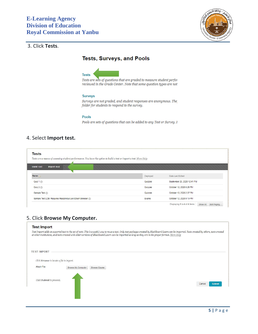

# 3. Click **Tests**.

## **Tests, Surveys, and Pools**



Tests are sets of questions that are graded to measure student perfor reviewed in the Grade Center. Note that some question types are not

#### **Surveys**

Surveys are not graded, and student responses are anonymous. The folder for students to respond to the survey.

#### Pools

Pools are sets of questions that can be added to any Test or Survey. 1

## 4. Select **Import test.**

| Tests are a means of assessing student performance. You have the option to build a test or import a test. More Help |          |                             |
|---------------------------------------------------------------------------------------------------------------------|----------|-----------------------------|
| <b>Build Test</b><br><b>Import Test</b>                                                                             |          |                             |
| Name                                                                                                                | Deployed | Date Last Edited            |
| Quiz 1                                                                                                              | Quizzes  | September 29, 2020 12:41 PM |
| Quiz 2                                                                                                              | Quizzes  | October 12, 2020 8:26 PM    |
| Sample Test                                                                                                         | Quizzes  | October 10, 2020 2:37 PM    |
|                                                                                                                     |          |                             |

## 5. Click **Browse My Computer.**

| <b>Test Import</b>                       |                    |                                                                                                                                                                                                                                                                                                                                                             |                         |
|------------------------------------------|--------------------|-------------------------------------------------------------------------------------------------------------------------------------------------------------------------------------------------------------------------------------------------------------------------------------------------------------------------------------------------------------|-------------------------|
|                                          |                    | Test Import adds an exported test to the set of tests. This is a useful way to reuse a test. Only test packages created by Blackboard Learn can be imported. Tests created by others, tests created<br>at other institutions, and tests created with older versions of Blackboard Learn can be imported as long as they are in the proper format. More Help |                         |
| <b>TEST IMPORT</b>                       |                    |                                                                                                                                                                                                                                                                                                                                                             |                         |
| Click Browse to locate a file to import. |                    |                                                                                                                                                                                                                                                                                                                                                             |                         |
| Attach File                              | Browse My Computer | <b>Browse Course</b>                                                                                                                                                                                                                                                                                                                                        |                         |
| Click Submit to proceed.                 |                    |                                                                                                                                                                                                                                                                                                                                                             | Cancel<br><b>Submit</b> |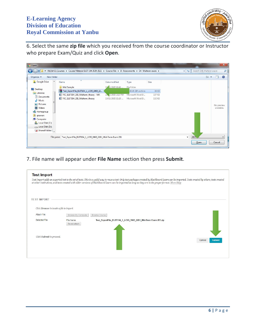

6. Select the same **zip file** which you received from the course coordinator or Instructor who prepare Exam/Quiz and click **Open**.

| New folder<br>Organize v                |                                                                       |                    |                  |        | 肝                                        | $\odot$<br>$\overline{\phantom{a}}$ |
|-----------------------------------------|-----------------------------------------------------------------------|--------------------|------------------|--------|------------------------------------------|-------------------------------------|
| <b>Google Drive</b><br>$\blacktriangle$ | Name                                                                  | Date modified      | Type             | Size   |                                          |                                     |
|                                         | Mid Sample                                                            | 2/2020 10:41       | File folder      |        |                                          |                                     |
| Desktop<br>a                            | Test_ExportFile_ELET104_1_LC05_1963_22                                |                    | nRAR ZIP archive | 38 KB  |                                          |                                     |
| Libraries                               | VIC_ELET104_201_Midterm_theory - MA                                   | 10, 3/2020 2:13 PM | Microsoft Word D | 137 KB |                                          |                                     |
| Documents<br>Music                      | VIC_ELET104_201_Midterm_theory                                        | 10/11/2020 11:20   | Microsoft Word D | 132 KB |                                          |                                     |
| Pictures                                |                                                                       |                    |                  |        |                                          |                                     |
| Videos                                  |                                                                       |                    |                  |        |                                          | No preview<br>available.            |
| Homegroup                               |                                                                       |                    |                  |        |                                          |                                     |
| <b>3</b> qnawan                         |                                                                       |                    |                  |        |                                          |                                     |
| Computer                                |                                                                       |                    |                  |        |                                          |                                     |
| Local Disk (C:)                         |                                                                       |                    |                  |        |                                          |                                     |
| Local Disk (D:)                         |                                                                       |                    |                  |        |                                          |                                     |
| Shared Folder (                         |                                                                       |                    |                  |        |                                          |                                     |
|                                         | File name: Test_ExportFile_ELET104_1_LC05_1963_2201_Mid-Term Exam 201 |                    |                  |        | All <sub>F</sub><br>$\blacktriangledown$ |                                     |

7. File name will appear under **File Name** section then press **Submit**.

|                                          |                            | Test Import adds an exported test to the set of tests. This is a useful way to reuse a test. Only test packages created by Blackboard Learn can be imported. Tests created by others, tests created<br>at other institutions, and tests created with older versions of Blackboard Learn can be imported as long as they are in the proper format. More Help |                         |
|------------------------------------------|----------------------------|-------------------------------------------------------------------------------------------------------------------------------------------------------------------------------------------------------------------------------------------------------------------------------------------------------------------------------------------------------------|-------------------------|
| <b>TEST IMPORT</b>                       |                            |                                                                                                                                                                                                                                                                                                                                                             |                         |
| Click Browse to locate a file to import. |                            |                                                                                                                                                                                                                                                                                                                                                             |                         |
| Attach File                              | Browse My Computer         | Browse Course                                                                                                                                                                                                                                                                                                                                               |                         |
| Selected File                            | File Name<br>Do not attach | Test_ExportFile_ELET104_1_LC05_1963_2201_Mid-Term Exam 201.zip                                                                                                                                                                                                                                                                                              |                         |
| Click Submit to proceed.                 |                            |                                                                                                                                                                                                                                                                                                                                                             | <b>Submit</b><br>Cancel |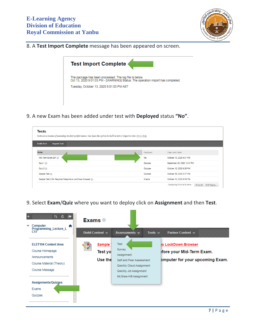

## 8. A **Test Import Complete** message has been appeared on screen.



9. A new Exam has been added under test with **Deployed** status **"No"**.

| <b>Build Test</b><br><b>Import Test</b>              |           |                             |
|------------------------------------------------------|-----------|-----------------------------|
|                                                      |           |                             |
| <b>Name</b>                                          | Deployed  | Date Last Edited            |
| Mid-Term Exam 201                                    | <b>No</b> | October 13, 2020 9:01 PM    |
| Quiz 1                                               | Quizzes   | September 29, 2020 12:41 PM |
| Quiz 2                                               | Quizzes   | October 12, 2020 8:26 PM    |
| Sample Test                                          | Quizzes   | October 10, 2020 2:37 PM    |
| Sample Test LDB- Requires Respondus LockDown Browser | Exams     | October 12, 2020 9:19 PM    |

9. Select **Exam**/**Quiz** where you want to deploy click on **Assignment** and then **Test**.

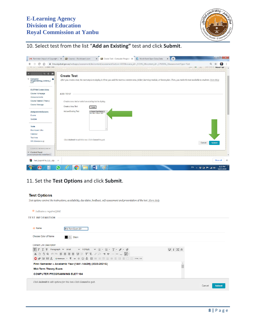

# 10. Select test from the list "**Add an Existing"** test and click **Submit**.

| ⇧<br>LAGINO / LICUIC ICOL                       | m Ims.cisjubail.gov.sa/webapps/assessment/do/content/assessment?action=ADD&course_id=_57245_1&content_id=_1702656_1&assessmentType=Test<br><b>EB</b><br>101<br><b>IL URE WHATER</b><br>والتنازل                            |               |
|-------------------------------------------------|----------------------------------------------------------------------------------------------------------------------------------------------------------------------------------------------------------------------------|---------------|
| 11 0 画<br>$\blacktriangleright$ Computer        | <b>Create Test</b><br>After you create a test, the next step is to deploy it. First, you add the test to a content area, folder, learning module, or lesson plan. Then, you make the test available to students. More Help |               |
| Programming_Lecture_L<br>C17                    |                                                                                                                                                                                                                            |               |
| <b>ELET104 Content Area</b>                     |                                                                                                                                                                                                                            |               |
| Course Homepage                                 | <b>ADD TEST</b>                                                                                                                                                                                                            |               |
| Announcements                                   |                                                                                                                                                                                                                            |               |
| Course Material (Theory)<br>Course Message      | Create a new test or select an existing test to deploy.                                                                                                                                                                    |               |
|                                                 | Create a New Test<br>Create                                                                                                                                                                                                |               |
| Assignments/Quizzes                             | Add an Existing Test<br>-- Select Test Below --                                                                                                                                                                            |               |
| Exams                                           | Mid-Term Exam 201                                                                                                                                                                                                          |               |
| Quizzes                                         |                                                                                                                                                                                                                            |               |
|                                                 |                                                                                                                                                                                                                            |               |
| <b>Tools</b>                                    |                                                                                                                                                                                                                            |               |
| <b>Blackboard Ultra</b>                         |                                                                                                                                                                                                                            |               |
| Calendar<br><b>Tool Area</b>                    |                                                                                                                                                                                                                            |               |
| SIS Attendance ZI                               | Click Submit to add this test. Click Cancel to quit.                                                                                                                                                                       |               |
|                                                 | Cancel                                                                                                                                                                                                                     | <b>Submit</b> |
| <b>COURSE MANAGEMENT</b>                        |                                                                                                                                                                                                                            |               |
| Control Panel<br>javascript:submit('createNew') |                                                                                                                                                                                                                            |               |
| Test_ExportFile_ELEzip ^                        |                                                                                                                                                                                                                            | Show all      |

## 11. Set the **Test Options** and click **Submit**.

#### **Test Options**

Test options control the instructions, availability, due dates, feedback, self-assessment and presentation of the test. More Help

| * Indicates a required field.        |                                                                                                                                                                                                                                                                                                                                                                                                        |                                |                         |
|--------------------------------------|--------------------------------------------------------------------------------------------------------------------------------------------------------------------------------------------------------------------------------------------------------------------------------------------------------------------------------------------------------------------------------------------------------|--------------------------------|-------------------------|
| <b>TEST INFORMATION</b>              |                                                                                                                                                                                                                                                                                                                                                                                                        |                                |                         |
| -X- Name                             | Mid-Term Exam 201                                                                                                                                                                                                                                                                                                                                                                                      |                                |                         |
| Choose Color of Name                 | Black                                                                                                                                                                                                                                                                                                                                                                                                  |                                |                         |
| <b>Content Link Description</b>      |                                                                                                                                                                                                                                                                                                                                                                                                        |                                |                         |
| T<br>$T$ $T$ Paragraph $\vee$ Arial  | $\vee$ 4 (14pt)<br>$\vee \vdash \vdash \vDash \vdash T \vdash \mathbb{P} \vdash \lozenge$                                                                                                                                                                                                                                                                                                              | $i \approx \infty$<br><b>Q</b> |                         |
|                                      | $\text{X} \hspace{0.2em}\text{D} \hspace{0.2em}\text{C} \hspace{0.2em}\text{C} \hspace{0.2em}\text{C} \hspace{0.2em}\text{C} \hspace{0.2em}\text{C} \hspace{0.2em}\text{C} \hspace{0.2em}\text{C} \hspace{0.2em}\text{C} \hspace{0.2em}\text{C} \hspace{0.2em}\text{C} \hspace{0.2em}\text{C} \hspace{0.2em}\text{C} \hspace{0.2em}\text{C} \hspace{0.2em}\text{C} \hspace{0.2em}\text{C} \hspace{0.2$ |                                |                         |
|                                      | First Semester - Academic Year (1441-1442H) (2020-2021G)                                                                                                                                                                                                                                                                                                                                               |                                |                         |
| Mid-Term Theory Exam                 |                                                                                                                                                                                                                                                                                                                                                                                                        |                                |                         |
| <b>COMPUTER PROGRAMMING ELET 104</b> |                                                                                                                                                                                                                                                                                                                                                                                                        |                                |                         |
|                                      | Click Submit to edit options for this test. Click Cancel to quit.                                                                                                                                                                                                                                                                                                                                      |                                | <b>Submit</b><br>Cancel |